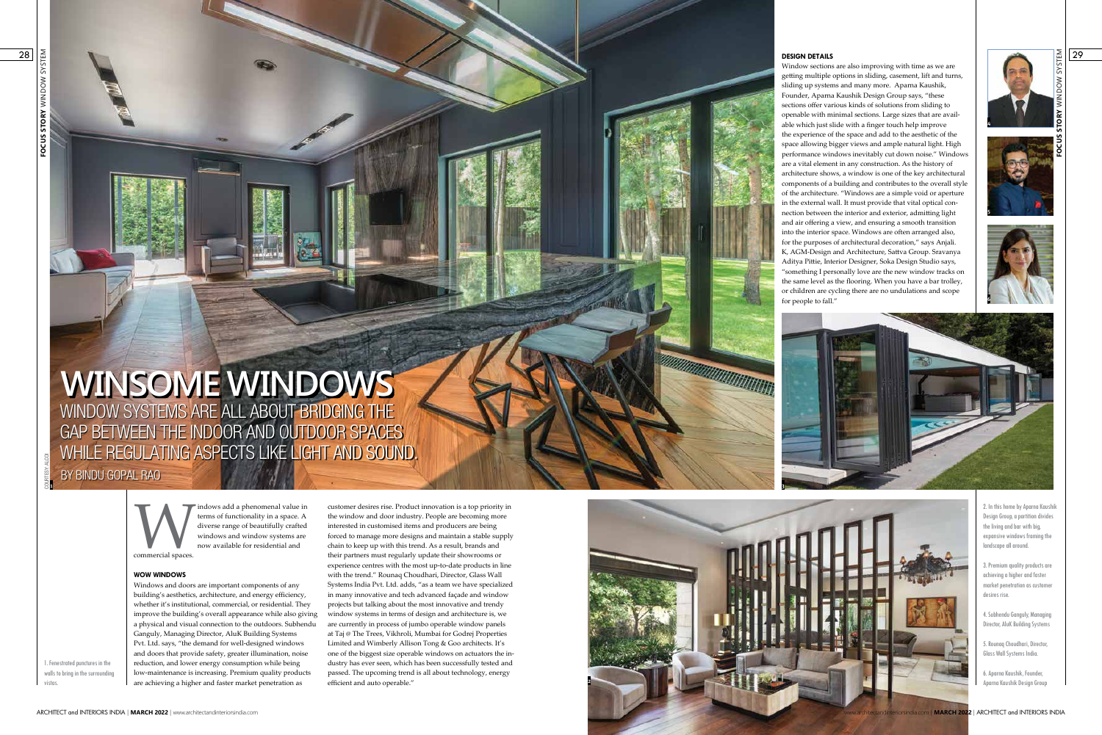**FOCUS STORY** WINDOW SYSTEM



2. In this home by Aparna Kaushik Design Group, a partition divides the living and bar with big, expansive windows framing the landscape all around.

3. Premium quality products are achieving a higher and faster market penetration as customer desires rise.



4. Subhendu Ganguly, Managing Director, AluK Building Systems

5. Rounaq Choudhari, Director, Glass Wall Systems India.

6. Aparna Kaushik, Founder, Aparna Kaushik Design Group

1. Fenestrated punctures in the walls to bring in the surrounding

vistas.







### **DESIGN DETAILS**

Indows add a phenomenal value in<br>terms of functionality in a space. A<br>diverse range of beautifully crafted<br>windows and window systems are<br>now available for residential and<br>commercial spaces. terms of functionality in a space. A diverse range of beautifully crafted windows and window systems are now available for residential and

Window sections are also improving with time as we are getting multiple options in sliding, casement, lift and turns, sliding up systems and many more. Aparna Kaushik, Founder, Aparna Kaushik Design Group says, "these sections offer various kinds of solutions from sliding to openable with minimal sections. Large sizes that are available which just slide with a finger touch help improve the experience of the space and add to the aesthetic of the space allowing bigger views and ample natural light. High performance windows inevitably cut down noise." Windows are a vital element in any construction. As the history of architecture shows, a window is one of the key architectural components of a building and contributes to the overall style of the architecture. "Windows are a simple void or aperture in the external wall. It must provide that vital optical connection between the interior and exterior, admitting light and air offering a view, and ensuring a smooth transition into the interior space. Windows are often arranged also, for the purposes of architectural decoration," says Anjali. K, AGM-Design and Architecture, Sattva Group. Sravanya Aditya Pittie, Interior Designer, Soka Design Studio says, "something I personally love are the new window tracks on the same level as the flooring. When you have a bar trolley, or children are cycling there are no undulations and scope for people to fall."

commercial spaces.

## **WOW WINDOWS**

Windows and doors are important components of any building's aesthetics, architecture, and energy efficiency, whether it's institutional, commercial, or residential. They improve the building's overall appearance while also giving a physical and visual connection to the outdoors. Subhendu Ganguly, Managing Director, AluK Building Systems Pvt. Ltd. says, "the demand for well-designed windows and doors that provide safety, greater illumination, noise reduction, and lower energy consumption while being low-maintenance is increasing. Premium quality products are achieving a higher and faster market penetration as



customer desires rise. Product innovation is a top priority in the window and door industry. People are becoming more interested in customised items and producers are being forced to manage more designs and maintain a stable supply chain to keep up with this trend. As a result, brands and their partners must regularly update their showrooms or experience centres with the most up-to-date products in line with the trend." Rounaq Choudhari, Director, Glass Wall Systems India Pvt. Ltd. adds, "as a team we have specialized in many innovative and tech advanced façade and window projects but talking about the most innovative and trendy window systems in terms of design and architecture is, we are currently in process of jumbo operable window panels at Taj @ The Trees, Vikhroli, Mumbai for Godrej Properties Limited and Wimberly Allison Tong & Goo architects. It's one of the biggest size operable windows on actuators the industry has ever seen, which has been successfully tested and passed. The upcoming trend is all about technology, energy efficient and auto operable."

BY BINDU GOPAL RAO

## WINDOW SYSTEMS ARE ALL ABOUT BRIDGING THE GAP BETWEEN THE INDOOR AND OUTDOOR SPACES WHILE REGULATING ASPECTS LIKE LIGHT AND SOUND. **WINSOME WINDOWS**

**1** COURTESY: ALCOI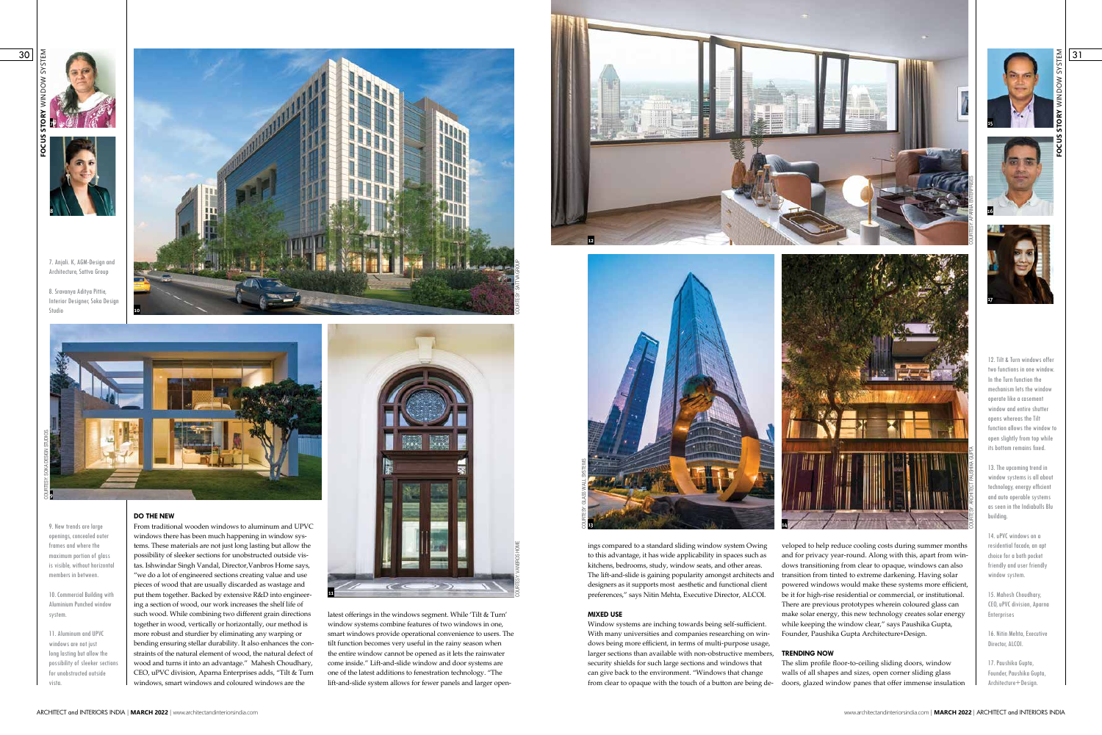9. New trends are large openings, concealed outer frames and where the maximum portion of glass is visible, without horizontal members in between.

10. Commercial Building with Aluminium Punched window system.

11. Aluminum and UPVC windows are not just long lasting but allow the possibility of sleeker sections for unobstructed outside vista.

7. Anjali. K, AGM-Design and Architecture, Sattva Group

8. Sravanya Aditya Pittie, Interior Designer, Soka Design Studio **10**

> latest offerings in the windows segment. While 'Tilt & Turn' window systems combine features of two windows in one, smart windows provide operational convenience to users. The tilt function becomes very useful in the rainy season when the entire window cannot be opened as it lets the rainwater come inside." Lift-and-slide window and door systems are one of the latest additions to fenestration technology. "The lift-and-slide system allows for fewer panels and larger open-

12. Tilt & Turn windows offer two functions in one window. In the Turn function the mechanism lets the window operate like a casement window and entire shutter opens whereas the Tilt function allows the window to open slightly from top while its bottom remains fixed.

13. The upcoming trend in window systems is all about technology, energy efficient and auto operable systems as seen in the Indiabulls Blu building.

14. uPVC windows on a residential facade, an apt choice for a both pocket friendly and user friendly window system.

15. Mahesh Choudhary, CEO, uPVC division, Aparna Enterprises

16. Nitin Mehta, Executive Director, ALCOI.

# **FOCUS STORY** WINDOW SYSTEM **37**



17. Paushika Gupta, Founder, Paushika Gupta, Architecture+Design.





#### **DO THE NEW**

ings compared to a standard sliding window system Owing to this advantage, it has wide applicability in spaces such as kitchens, bedrooms, study, window seats, and other areas. The lift-and-slide is gaining popularity amongst architects and designers as it supports most aesthetic and functional client preferences," says Nitin Mehta, Executive Director, ALCOI. **MIXED USE** Window systems are inching towards being self-sufficient. veloped to help reduce cooling costs during summer months and for privacy year-round. Along with this, apart from windows transitioning from clear to opaque, windows can also transition from tinted to extreme darkening. Having solar powered windows would make these systems more efficient, be it for high-rise residential or commercial, or institutional. There are previous prototypes wherein coloured glass can make solar energy, this new technology creates solar energy while keeping the window clear," says Paushika Gupta, Founder, Paushika Gupta Architecture+Design.

From traditional wooden windows to aluminum and UPVC windows there has been much happening in window systems. These materials are not just long lasting but allow the possibility of sleeker sections for unobstructed outside vistas. Ishwindar Singh Vandal, Director,Vanbros Home says, "we do a lot of engineered sections creating value and use pieces of wood that are usually discarded as wastage and put them together. Backed by extensive R&D into engineering a section of wood, our work increases the shelf life of such wood. While combining two different grain directions together in wood, vertically or horizontally, our method is more robust and sturdier by eliminating any warping or bending ensuring stellar durability. It also enhances the constraints of the natural element of wood, the natural defect of wood and turns it into an advantage." Mahesh Choudhary, CEO, uPVC division, Aparna Enterprises adds, "Tilt & Turn windows, smart windows and coloured windows are the



With many universities and companies researching on windows being more efficient, in terms of multi-purpose usage, larger sections than available with non-obstructive members, **TRENDING NOW** security shields for such large sections and windows that can give back to the environment. "Windows that change from clear to opaque with the touch of a button are being de-The slim profile floor-to-ceiling sliding doors, window walls of all shapes and sizes, open corner sliding glass doors, glazed window panes that offer immense insulation



**11**